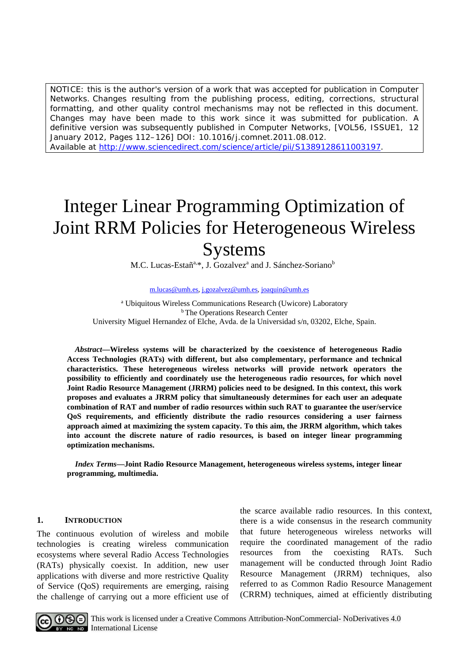NOTICE: this is the author's version of a work that was accepted for publication in Computer Networks. Changes resulting from the publishing process, editing, corrections, structural formatting, and other quality control mechanisms may not be reflected in this document. Changes may have been made to this work since it was submitted for publication. A definitive version was subsequently published in Computer Networks, [VOL56, ISSUE1, 12 January 2012, Pages 112–126] DOI: 10.1016/j.comnet.2011.08.012.

Available at [http://www.sciencedirect.com/science/article/pii/S1389128611003197.](http://www.sciencedirect.com/science/article/pii/S1389128611003197)

# Integer Linear Programming Optimization of Joint RRM Policies for Heterogeneous Wireless Systems

M.C. Lucas-Estañ<sup>a,\*</sup>, J. Gozalvez<sup>a</sup> and J. Sánchez-Soriano<sup>b</sup>

[m.lucas@umh.es,](mailto:m.lucas@umh.es) [j.gozalvez@umh.es,](mailto:j.gozalvez@umh.es) [joaquin@umh.es](mailto:joaquin@umh.es)

<sup>a</sup> Ubiquitous Wireless Communications Research (Uwicore) Laboratory **b** The Operations Research Center University Miguel Hernandez of Elche, Avda. de la Universidad s/n, 03202, Elche, Spain.

*Abstract***—Wireless systems will be characterized by the coexistence of heterogeneous Radio Access Technologies (RATs) with different, but also complementary, performance and technical characteristics. These heterogeneous wireless networks will provide network operators the possibility to efficiently and coordinately use the heterogeneous radio resources, for which novel Joint Radio Resource Management (JRRM) policies need to be designed. In this context, this work proposes and evaluates a JRRM policy that simultaneously determines for each user an adequate combination of RAT and number of radio resources within such RAT to guarantee the user/service QoS requirements, and efficiently distribute the radio resources considering a user fairness approach aimed at maximizing the system capacity. To this aim, the JRRM algorithm, which takes into account the discrete nature of radio resources, is based on integer linear programming optimization mechanisms.**

*Index Terms***—Joint Radio Resource Management, heterogeneous wireless systems, integer linear programming, multimedia.** 

## **1. INTRODUCTION**

The continuous evolution of wireless and mobile technologies is creating wireless communication ecosystems where several Radio Access Technologies (RATs) physically coexist. In addition, new user applications with diverse and more restrictive Quality of Service (QoS) requirements are emerging, raising the challenge of carrying out a more efficient use of

the scarce available radio resources. In this context, there is a wide consensus in the research community that future heterogeneous wireless networks will require the coordinated management of the radio resources from the coexisting RATs. Such management will be conducted through Joint Radio Resource Management (JRRM) techniques, also referred to as Common Radio Resource Management (CRRM) techniques, aimed at efficiently distributing

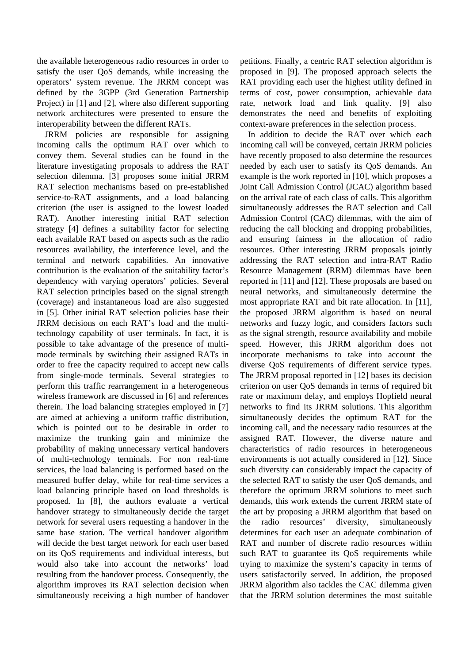the available heterogeneous radio resources in order to satisfy the user QoS demands, while increasing the operators' system revenue. The JRRM concept was defined by the 3GPP (3rd Generation Partnership Project) in [\[1\]](#page-15-0) and [\[2\],](#page-15-1) where also different supporting network architectures were presented to ensure the interoperability between the different RATs.

JRRM policies are responsible for assigning incoming calls the optimum RAT over which to convey them. Several studies can be found in the literature investigating proposals to address the RAT selection dilemma. [\[3\]](#page-15-2) proposes some initial JRRM RAT selection mechanisms based on pre-established service-to-RAT assignments, and a load balancing criterion (the user is assigned to the lowest loaded RAT). Another interesting initial RAT selection strategy [\[4\]](#page-15-3) defines a suitability factor for selecting each available RAT based on aspects such as the radio resources availability, the interference level, and the terminal and network capabilities. An innovative contribution is the evaluation of the suitability factor's dependency with varying operators' policies. Several RAT selection principles based on the signal strength (coverage) and instantaneous load are also suggested in [\[5\].](#page-15-4) Other initial RAT selection policies base their JRRM decisions on each RAT's load and the multitechnology capability of user terminals. In fact, it is possible to take advantage of the presence of multimode terminals by switching their assigned RATs in order to free the capacity required to accept new calls from single-mode terminals. Several strategies to perform this traffic rearrangement in a heterogeneous wireless framework are discussed in [\[6\]](#page-15-5) and references therein. The load balancing strategies employed in [\[7\]](#page-15-6) are aimed at achieving a uniform traffic distribution, which is pointed out to be desirable in order to maximize the trunking gain and minimize the probability of making unnecessary vertical handovers of multi-technology terminals. For non real-time services, the load balancing is performed based on the measured buffer delay, while for real-time services a load balancing principle based on load thresholds is proposed. In [\[8\],](#page-16-0) the authors evaluate a vertical handover strategy to simultaneously decide the target network for several users requesting a handover in the same base station. The vertical handover algorithm will decide the best target network for each user based on its QoS requirements and individual interests, but would also take into account the networks' load resulting from the handover process. Consequently, the algorithm improves its RAT selection decision when simultaneously receiving a high number of handover

petitions. Finally, a centric RAT selection algorithm is proposed in [\[9\].](#page-16-1) The proposed approach selects the RAT providing each user the highest utility defined in terms of cost, power consumption, achievable data rate, network load and link quality. [\[9\]](#page-16-1) also demonstrates the need and benefits of exploiting context-aware preferences in the selection process.

In addition to decide the RAT over which each incoming call will be conveyed, certain JRRM policies have recently proposed to also determine the resources needed by each user to satisfy its QoS demands. An example is the work reported in [\[10\],](#page-16-2) which proposes a Joint Call Admission Control (JCAC) algorithm based on the arrival rate of each class of calls. This algorithm simultaneously addresses the RAT selection and Call Admission Control (CAC) dilemmas, with the aim of reducing the call blocking and dropping probabilities, and ensuring fairness in the allocation of radio resources. Other interesting JRRM proposals jointly addressing the RAT selection and intra-RAT Radio Resource Management (RRM) dilemmas have been reported in [\[11\]](#page-16-3) and [\[12\].](#page-16-4) These proposals are based on neural networks, and simultaneously determine the most appropriate RAT and bit rate allocation. In [\[11\],](#page-16-3) the proposed JRRM algorithm is based on neural networks and fuzzy logic, and considers factors such as the signal strength, resource availability and mobile speed. However, this JRRM algorithm does not incorporate mechanisms to take into account the diverse QoS requirements of different service types. The JRRM proposal reported in [\[12\]](#page-16-4) bases its decision criterion on user QoS demands in terms of required bit rate or maximum delay, and employs Hopfield neural networks to find its JRRM solutions. This algorithm simultaneously decides the optimum RAT for the incoming call, and the necessary radio resources at the assigned RAT. However, the diverse nature and characteristics of radio resources in heterogeneous environments is not actually considered in [\[12\].](#page-16-4) Since such diversity can considerably impact the capacity of the selected RAT to satisfy the user QoS demands, and therefore the optimum JRRM solutions to meet such demands, this work extends the current JRRM state of the art by proposing a JRRM algorithm that based on the radio resources' diversity, simultaneously determines for each user an adequate combination of RAT and number of discrete radio resources within such RAT to guarantee its QoS requirements while trying to maximize the system's capacity in terms of users satisfactorily served. In addition, the proposed JRRM algorithm also tackles the CAC dilemma given that the JRRM solution determines the most suitable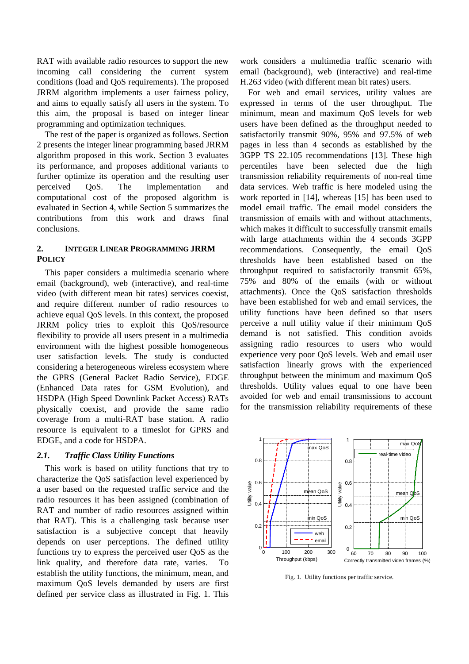RAT with available radio resources to support the new incoming call considering the current system conditions (load and QoS requirements). The proposed JRRM algorithm implements a user fairness policy, and aims to equally satisfy all users in the system. To this aim, the proposal is based on integer linear programming and optimization techniques.

The rest of the paper is organized as follows. Section 2 presents the integer linear programming based JRRM algorithm proposed in this work. Section [3](#page-7-0) evaluates its performance, and proposes additional variants to further optimize its operation and the resulting user perceived QoS. The implementation and computational cost of the proposed algorithm is evaluated in Section [4,](#page-13-0) while Section [5](#page-15-7) summarizes the contributions from this work and draws final conclusions.

# **2. INTEGER LINEAR PROGRAMMING JRRM POLICY**

This paper considers a multimedia scenario where email (background), web (interactive), and real-time video (with different mean bit rates) services coexist, and require different number of radio resources to achieve equal QoS levels. In this context, the proposed JRRM policy tries to exploit this QoS/resource flexibility to provide all users present in a multimedia environment with the highest possible homogeneous user satisfaction levels. The study is conducted considering a heterogeneous wireless ecosystem where the GPRS (General Packet Radio Service), EDGE (Enhanced Data rates for GSM Evolution), and HSDPA (High Speed Downlink Packet Access) RATs physically coexist, and provide the same radio coverage from a multi-RAT base station. A radio resource is equivalent to a timeslot for GPRS and EDGE, and a code for HSDPA.

## *2.1. Traffic Class Utility Functions*

This work is based on utility functions that try to characterize the QoS satisfaction level experienced by a user based on the requested traffic service and the radio resources it has been assigned (combination of RAT and number of radio resources assigned within that RAT). This is a challenging task because user satisfaction is a subjective concept that heavily depends on user perceptions. The defined utility functions try to express the perceived user QoS as the link quality, and therefore data rate, varies. To establish the utility functions, the minimum, mean, and maximum QoS levels demanded by users are first defined per service class as illustrated in Fig. 1. This

work considers a multimedia traffic scenario with email (background), web (interactive) and real-time H.263 video (with different mean bit rates) users.

For web and email services, utility values are expressed in terms of the user throughput. The minimum, mean and maximum QoS levels for web users have been defined as the throughput needed to satisfactorily transmit 90%, 95% and 97.5% of web pages in less than 4 seconds as established by the 3GPP TS 22.105 recommendations [\[13\].](#page-16-5) These high percentiles have been selected due the high transmission reliability requirements of non-real time data services. Web traffic is here modeled using the work reported in [\[14\],](#page-16-6) whereas [\[15\]](#page-16-7) has been used to model email traffic. The email model considers the transmission of emails with and without attachments, which makes it difficult to successfully transmit emails with large attachments within the 4 seconds 3GPP recommendations. Consequently, the email QoS thresholds have been established based on the throughput required to satisfactorily transmit 65%, 75% and 80% of the emails (with or without attachments). Once the QoS satisfaction thresholds have been established for web and email services, the utility functions have been defined so that users perceive a null utility value if their minimum QoS demand is not satisfied. This condition avoids assigning radio resources to users who would experience very poor QoS levels. Web and email user satisfaction linearly grows with the experienced throughput between the minimum and maximum QoS thresholds. Utility values equal to one have been avoided for web and email transmissions to account for the transmission reliability requirements of these



Fig. 1. Utility functions per traffic service.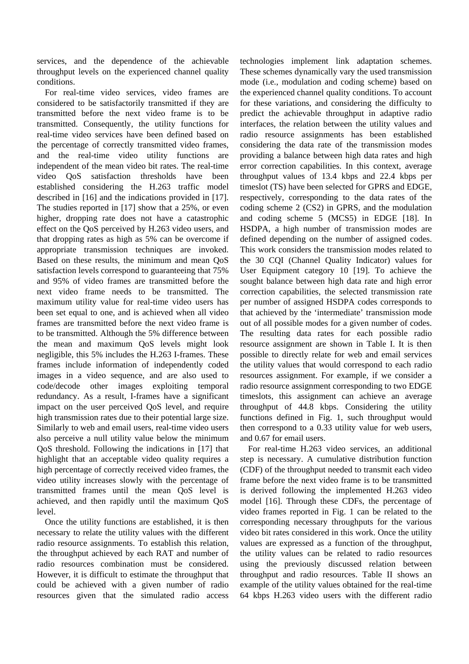services, and the dependence of the achievable throughput levels on the experienced channel quality conditions.

For real-time video services, video frames are considered to be satisfactorily transmitted if they are transmitted before the next video frame is to be transmitted. Consequently, the utility functions for real-time video services have been defined based on the percentage of correctly transmitted video frames, and the real-time video utility functions are independent of the mean video bit rates. The real-time video QoS satisfaction thresholds have been established considering the H.263 traffic model described in [\[16\]](#page-16-8) and the indications provided in [\[17\].](#page-16-9) The studies reported in [\[17\]](#page-16-9) show that a 25%, or even higher, dropping rate does not have a catastrophic effect on the QoS perceived by H.263 video users, and that dropping rates as high as 5% can be overcome if appropriate transmission techniques are invoked. Based on these results, the minimum and mean QoS satisfaction levels correspond to guaranteeing that 75% and 95% of video frames are transmitted before the next video frame needs to be transmitted. The maximum utility value for real-time video users has been set equal to one, and is achieved when all video frames are transmitted before the next video frame is to be transmitted. Although the 5% difference between the mean and maximum QoS levels might look negligible, this 5% includes the H.263 I-frames. These frames include information of independently coded images in a video sequence, and are also used to code/decode other images exploiting temporal redundancy. As a result, I-frames have a significant impact on the user perceived QoS level, and require high transmission rates due to their potential large size. Similarly to web and email users, real-time video users also perceive a null utility value below the minimum QoS threshold. Following the indications in [\[17\]](#page-16-9) that highlight that an acceptable video quality requires a high percentage of correctly received video frames, the video utility increases slowly with the percentage of transmitted frames until the mean QoS level is achieved, and then rapidly until the maximum QoS level.

Once the utility functions are established, it is then necessary to relate the utility values with the different radio resource assignments. To establish this relation, the throughput achieved by each RAT and number of radio resources combination must be considered. However, it is difficult to estimate the throughput that could be achieved with a given number of radio resources given that the simulated radio access

technologies implement link adaptation schemes. These schemes dynamically vary the used transmission mode (i.e., modulation and coding scheme) based on the experienced channel quality conditions. To account for these variations, and considering the difficulty to predict the achievable throughput in adaptive radio interfaces, the relation between the utility values and radio resource assignments has been established considering the data rate of the transmission modes providing a balance between high data rates and high error correction capabilities. In this context, average throughput values of 13.4 kbps and 22.4 kbps per timeslot (TS) have been selected for GPRS and EDGE, respectively, corresponding to the data rates of the coding scheme 2 (CS2) in GPRS, and the modulation and coding scheme 5 (MCS5) in EDGE [\[18\].](#page-16-10) In HSDPA, a high number of transmission modes are defined depending on the number of assigned codes. This work considers the transmission modes related to the 30 CQI (Channel Quality Indicator) values for User Equipment category 10 [\[19\].](#page-16-11) To achieve the sought balance between high data rate and high error correction capabilities, the selected transmission rate per number of assigned HSDPA codes corresponds to that achieved by the 'intermediate' transmission mode out of all possible modes for a given number of codes. The resulting data rates for each possible radio resource assignment are shown in Table I. It is then possible to directly relate for web and email services the utility values that would correspond to each radio resources assignment. For example, if we consider a radio resource assignment corresponding to two EDGE timeslots, this assignment can achieve an average throughput of 44.8 kbps. Considering the utility functions defined in Fig. 1, such throughput would then correspond to a 0.33 utility value for web users, and 0.67 for email users.

For real-time H.263 video services, an additional step is necessary. A cumulative distribution function (CDF) of the throughput needed to transmit each video frame before the next video frame is to be transmitted is derived following the implemented H.263 video model [\[16\].](#page-16-8) Through these CDFs, the percentage of video frames reported in Fig. 1 can be related to the corresponding necessary throughputs for the various video bit rates considered in this work. Once the utility values are expressed as a function of the throughput, the utility values can be related to radio resources using the previously discussed relation between throughput and radio resources. Table II shows an example of the utility values obtained for the real-time 64 kbps H.263 video users with the different radio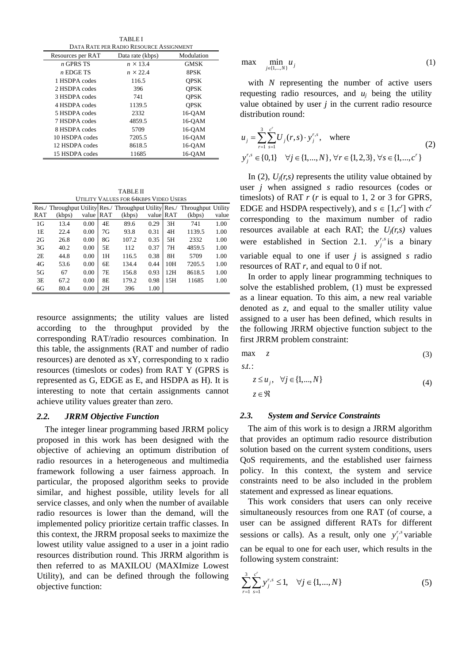TABLE I DATA RATE PER RADIO RESOURCE ASSIGNMENT

| Resources per RAT | Data rate (kbps) | Modulation  |
|-------------------|------------------|-------------|
| $n$ GPRS TS       | $n \times 13.4$  | <b>GMSK</b> |
| $n$ EDGE TS       | $n \times 22.4$  | 8PSK        |
| 1 HSDPA codes     | 116.5            | <b>OPSK</b> |
| 2 HSDPA codes     | 396              | <b>OPSK</b> |
| 3 HSDPA codes     | 741              | <b>OPSK</b> |
| 4 HSDPA codes     | 1139.5           | <b>OPSK</b> |
| 5 HSDPA codes     | 2332             | 16-OAM      |
| 7 HSDPA codes     | 4859.5           | 16-OAM      |
| 8 HSDPA codes     | 5709             | 16-OAM      |
| 10 HSDPA codes    | 7205.5           | 16-OAM      |
| 12 HSDPA codes    | 8618.5           | 16-OAM      |
| 15 HSDPA codes    | 11685            | 16-OAM      |

TABLE II UTILITY VALUES FOR 64KBPS VIDEO USERS

|                |        |       |            |        |           |     | Res./ Throughput Utility Res./ Throughput Utility Res./ Throughput Utility |       |
|----------------|--------|-------|------------|--------|-----------|-----|----------------------------------------------------------------------------|-------|
| RAT            | (kbps) | value | <b>RAT</b> | (kbps) | value RAT |     | (kbps)                                                                     | value |
| 1G             | 13.4   | 0.00  | 4E         | 89.6   | 0.29      | 3H  | 741                                                                        | 1.00  |
| 1E             | 22.4   | 0.00  | 7G         | 93.8   | 0.31      | 4H  | 1139.5                                                                     | 1.00  |
| 2G             | 26.8   | 0.00  | 8G         | 107.2  | 0.35      | 5H  | 2332                                                                       | 1.00  |
| 3 <sub>G</sub> | 40.2   | 0.00  | 5E         | 112    | 0.37      | 7H  | 4859.5                                                                     | 1.00  |
| 2E             | 44.8   | 0.00  | 1H         | 116.5  | 0.38      | 8H  | 5709                                                                       | 1.00  |
| 4G             | 53.6   | 0.00  | 6E         | 134.4  | 0.44      | 10H | 7205.5                                                                     | 1.00  |
| 5G             | 67     | 0.00  | 7E         | 156.8  | 0.93      | 12H | 8618.5                                                                     | 1.00  |
| 3E             | 67.2   | 0.00  | 8E         | 179.2  | 0.98      | 15H | 11685                                                                      | 1.00  |
| 6G             | 80.4   | 0.00  | 2H         | 396    | 1.00      |     |                                                                            |       |

resource assignments; the utility values are listed according to the throughput provided by the corresponding RAT/radio resources combination. In this table, the assignments (RAT and number of radio resources) are denoted as xY, corresponding to x radio resources (timeslots or codes) from RAT Y (GPRS is represented as G, EDGE as E, and HSDPA as H). It is interesting to note that certain assignments cannot achieve utility values greater than zero.

## *2.2. JRRM Objective Function*

The integer linear programming based JRRM policy proposed in this work has been designed with the objective of achieving an optimum distribution of radio resources in a heterogeneous and multimedia framework following a user fairness approach. In particular, the proposed algorithm seeks to provide similar, and highest possible, utility levels for all service classes, and only when the number of available radio resources is lower than the demand, will the implemented policy prioritize certain traffic classes. In this context, the JRRM proposal seeks to maximize the lowest utility value assigned to a user in a joint radio resources distribution round. This JRRM algorithm is then referred to as MAXILOU (MAXImize Lowest Utility), and can be defined through the following objective function:

$$
\max \quad \min_{j \in \{1, \ldots, N\}} u_j \tag{1}
$$

with *N* representing the number of active users requesting radio resources, and *uj* being the utility value obtained by user  $j$  in the current radio resource distribution round:

$$
u_j = \sum_{r=1}^{3} \sum_{s=1}^{c^r} U_j(r, s) \cdot y_j^{r, s}, \text{ where}
$$
  
\n
$$
y_j^{r, s} \in \{0, 1\} \quad \forall j \in \{1, ..., N\}, \forall r \in \{1, 2, 3\}, \forall s \in \{1, ..., c^r\}
$$
\n(2)

In (2),  $U_i(r,s)$  represents the utility value obtained by user *j* when assigned *s* radio resources (codes or timeslots) of RAT *r* (*r* is equal to 1, 2 or 3 for GPRS, EDGE and HSDPA respectively), and  $s \in [1,c']$  with  $c'$ corresponding to the maximum number of radio resources available at each RAT; the  $U_i(r,s)$  values were established in Section 2.1.  $y_j^{r,s}$  is a binary variable equal to one if user *j* is assigned *s* radio resources of RAT *r*, and equal to 0 if not.

In order to apply linear programming techniques to solve the established problem, (1) must be expressed as a linear equation. To this aim, a new real variable denoted as *z,* and equal to the smaller utility value assigned to a user has been defined, which results in the following JRRM objective function subject to the first JRRM problem constraint:

$$
\max \quad z \tag{3}
$$

. .: *s t*

$$
z \le u_j, \quad \forall j \in \{1, ..., N\}
$$
  

$$
z \in \Re
$$
 (4)

## *2.3. System and Service Constraints*

The aim of this work is to design a JRRM algorithm that provides an optimum radio resource distribution solution based on the current system conditions, users QoS requirements, and the established user fairness policy. In this context, the system and service constraints need to be also included in the problem statement and expressed as linear equations.

This work considers that users can only receive simultaneously resources from one RAT (of course, a user can be assigned different RATs for different sessions or calls). As a result, only one  $y_j^{r,s}$  variable can be equal to one for each user, which results in the following system constraint:

$$
\sum_{r=1}^{3} \sum_{s=1}^{c^{r}} y_{j}^{r,s} \le 1, \quad \forall j \in \{1,...,N\}
$$
 (5)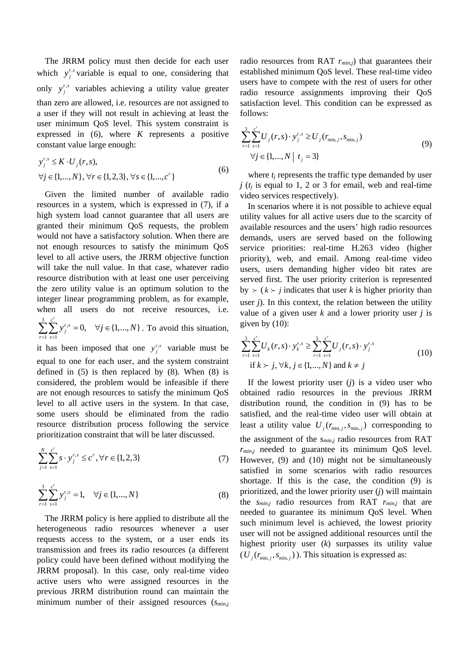The JRRM policy must then decide for each user which  $y_j^{r,s}$  variable is equal to one, considering that only  $y_j^{r,s}$  variables achieving a utility value greater than zero are allowed, i.e. resources are not assigned to a user if they will not result in achieving at least the user minimum QoS level. This system constraint is expressed in (6), where *K* represents a positive constant value large enough:

$$
y_j^{r,s} \le K \cdot U_j(r,s),
$$
  
\n
$$
\forall j \in \{1, ..., N\}, \forall r \in \{1, 2, 3\}, \forall s \in \{1, ..., c^r\}
$$
 (6)

Given the limited number of available radio resources in a system, which is expressed in (7), if a high system load cannot guarantee that all users are granted their minimum QoS requests, the problem would not have a satisfactory solution. When there are not enough resources to satisfy the minimum QoS level to all active users, the JRRM objective function will take the null value. In that case, whatever radio resource distribution with at least one user perceiving the zero utility value is an optimum solution to the integer linear programming problem, as for example, when all users do not receive resources, i.e.  $\sum_{r=1}^{3} \sum_{r=1}^{c} r^r$ 

 $1 \text{ } s=1$  $\sum_{r=1}^{3} \sum_{s=1}^{c^r} y_j^{r,s} = 0, \quad \forall j \in \{1, ..., N\}$  $y_i^{r,s} = 0, \quad \forall j \in \{1, ..., N\}$  $\sum_{r=1}^{\infty} \sum_{s=1}^{\infty} y_f^{r,s} = 0$ ,  $\forall j \in \{1, ..., N\}$ . To avoid this situation,

it has been imposed that one  $y_j^{r,s}$  variable must be equal to one for each user, and the system constraint defined in  $(5)$  is then replaced by  $(8)$ . When  $(8)$  is considered, the problem would be infeasible if there are not enough resources to satisfy the minimum QoS level to all active users in the system. In that case, some users should be eliminated from the radio resource distribution process following the service prioritization constraint that will be later discussed.

$$
\sum_{j=1}^{N} \sum_{s=1}^{c^r} s \cdot y_j^{r,s} \le c^r, \forall r \in \{1, 2, 3\}
$$
 (7)

<span id="page-5-0"></span>
$$
\sum_{r=1}^{3} \sum_{s=1}^{c^{r}} y_{j}^{r,s} = 1, \quad \forall j \in \{1, ..., N\}
$$
 (8)

The JRRM policy is here applied to distribute all the heterogeneous radio resources whenever a user requests access to the system, or a user ends its transmission and frees its radio resources (a different policy could have been defined without modifying the JRRM proposal). In this case, only real-time video active users who were assigned resources in the previous JRRM distribution round can maintain the minimum number of their assigned resources (*smin,j*

radio resources from RAT  $r_{min,j}$ ) that guarantees their established minimum QoS level. These real-time video users have to compete with the rest of users for other radio resource assignments improving their QoS satisfaction level. This condition can be expressed as follows:

$$
\sum_{r=1}^{3} \sum_{s=1}^{c^{r}} U_{j}(r,s) \cdot y_{j}^{r,s} \geq U_{j}(r_{\min,j}, s_{\min,j})
$$
\n
$$
\forall j \in \{1, ..., N \mid t_{j} = 3\}
$$
\n(9)

where  $t_i$  represents the traffic type demanded by user  $j(t_i)$  is equal to 1, 2 or 3 for email, web and real-time video services respectively).

In scenarios where it is not possible to achieve equal utility values for all active users due to the scarcity of available resources and the users' high radio resources demands, users are served based on the following service priorities: real-time H.263 video (higher priority), web, and email. Among real-time video users, users demanding higher video bit rates are served first. The user priority criterion is represented  $by \succ (k \succ j)$  indicates that user *k* is higher priority than user *j*). In this context, the relation between the utility value of a given user *k* and a lower priority user *j* is given by (10):

$$
\sum_{r=1}^{3} \sum_{s=1}^{c^{r}} U_{k}(r,s) \cdot y_{k}^{r,s} \ge \sum_{r=1}^{3} \sum_{s=1}^{c^{r}} U_{j}(r,s) \cdot y_{j}^{r,s}
$$
\n
$$
\text{if } k \succ j, \forall k, j \in \{1, ..., N\} \text{ and } k \ne j
$$
\n(10)

If the lowest priority user (*j*) is a video user who obtained radio resources in the previous JRRM distribution round, the condition in (9) has to be satisfied, and the real-time video user will obtain at least a utility value  $U_i(r_{\min,i}, s_{\min,i})$  corresponding to the assignment of the *smin,j* radio resources from RAT *rmin,j* needed to guarantee its minimum QoS level. However, (9) and (10) might not be simultaneously satisfied in some scenarios with radio resources shortage. If this is the case, the condition (9) is prioritized, and the lower priority user (*j*) will maintain the *smin,j* radio resources from RAT *rmin,j* that are needed to guarantee its minimum QoS level. When such minimum level is achieved, the lowest priority user will not be assigned additional resources until the highest priority user (*k*) surpasses its utility value  $(U_i(r_{\min,i}, s_{\min,i}))$ . This situation is expressed as: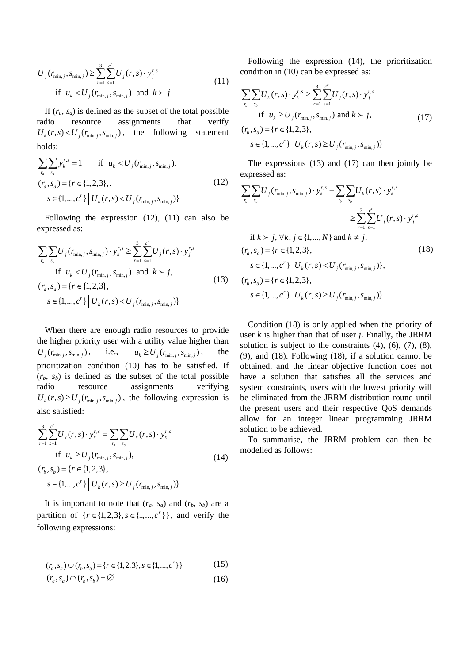$$
U_j(r_{\min,j}, s_{\min,j}) \ge \sum_{r=1}^3 \sum_{s=1}^{c'} U_j(r, s) \cdot y_j^{r, s}
$$
  
if  $u_k < U_j(r_{\min,j}, s_{\min,j})$  and  $k \succ j$  (11)

If  $(r_a, s_a)$  is defined as the subset of the total possible radio resource assignments that verify  $U_k(r,s) < U_j(r_{\min,i}, s_{\min,i})$ , the following statement holds:

$$
\sum_{r_a} \sum_{s_a} y_k^{r,s} = 1 \quad \text{if} \quad u_k < U_j(r_{\min,j}, s_{\min,j}),
$$
\n
$$
(r_a, s_a) = \{r \in \{1, 2, 3\}, \quad s \in \{1, \dots, c'\} \mid U_k(r, s) < U_j(r_{\min,j}, s_{\min,j})\}
$$
\n
$$
(12)
$$

Following the expression (12), (11) can also be expressed as:

$$
\sum_{r_a} \sum_{s_a} U_j(r_{\min,j}, s_{\min,j}) \cdot y_k^{r,s} \ge \sum_{r=1}^3 \sum_{s=1}^{c'} U_j(r, s) \cdot y_j^{r,s}
$$
  
if  $u_k < U_j(r_{\min,j}, s_{\min,j})$  and  $k > j$ ,  
 $(r_a, s_a) = \{r \in \{1, 2, 3\},$   
 $s \in \{1, ..., c'\} \Big| U_k(r, s) < U_j(r_{\min,j}, s_{\min,j}) \}$  (13)

When there are enough radio resources to provide the higher priority user with a utility value higher than  $U_i(r_{\min,i}, s_{\min,i}),$  i.e.,  $u_k \ge U_i(r_{\min,i}, s_{\min,i}),$  the prioritization condition (10) has to be satisfied. If  $(r_b, s_b)$  is defined as the subset of the total possible radio resource assignments verifying  $U_k(r,s) \ge U_j(r_{\min,j}, s_{\min,j})$ , the following expression is also satisfied:

$$
\sum_{r=1}^{3} \sum_{s=1}^{c^{r}} U_{k}(r,s) \cdot y_{k}^{r,s} = \sum_{r_{b}} \sum_{s_{b}} U_{k}(r,s) \cdot y_{k}^{r,s}
$$
\nif  $u_{k} \ge U_{j}(r_{\min,j}, s_{\min,j}),$   
\n $(r_{b}, s_{b}) = \{r \in \{1, 2, 3\},\}$   
\n $s \in \{1, ..., c^{r}\} \Big| U_{k}(r,s) \ge U_{j}(r_{\min,j}, s_{\min,j}) \}$ \n
$$
(14)
$$

It is important to note that  $(r_a, s_a)$  and  $(r_b, s_b)$  are a partition of  ${r \in \{1,2,3\}, s \in \{1,..., c^r\}\}\$ , and verify the following expressions:

$$
(r_a, s_a) \cup (r_b, s_b) = \{r \in \{1, 2, 3\}, s \in \{1, ..., c^r\}\}\tag{15}
$$

$$
(r_a, s_a) \cap (r_b, s_b) = \varnothing \tag{16}
$$

Following the expression (14), the prioritization condition in (10) can be expressed as:

$$
\sum_{r_b} \sum_{s_b} U_k(r, s) \cdot y_k^{r, s} \ge \sum_{r=1}^3 \sum_{s=1}^{c^r} U_j(r, s) \cdot y_j^{r, s}
$$
  
if  $u_k \ge U_j(r_{\min,j}, s_{\min,j})$  and  $k \succ j$ ,  
 $(r_b, s_b) = \{r \in \{1, 2, 3\},$   
 $s \in \{1, ..., c^r\} \mid U_k(r, s) \ge U_j(r_{\min,j}, s_{\min,j})\}$  (17)

The expressions (13) and (17) can then jointly be expressed as:

$$
\sum_{r_a} \sum_{s_a} U_j(r_{\min,j}, s_{\min,j}) \cdot y_k^{r,s} + \sum_{r_b} \sum_{s_b} U_k(r,s) \cdot y_k^{r,s}
$$
\n
$$
\geq \sum_{r=1}^3 \sum_{s=1}^c U_j(r,s) \cdot y_j^{r,s}
$$
\nif  $k > j$ ,  $\forall k, j \in \{1, ..., N\}$  and  $k \neq j$ ,\n
$$
(r_a, s_a) = \{r \in \{1, 2, 3\},
$$
\n
$$
s \in \{1, ..., c'\} \Big| U_k(r,s) < U_j(r_{\min,j}, s_{\min,j}) \},
$$
\n
$$
(r_b, s_b) = \{r \in \{1, 2, 3\},
$$
\n
$$
s \in \{1, ..., c'\} \Big| U_k(r,s) \geq U_j(r_{\min,j}, s_{\min,j}) \}
$$

Condition (18) is only applied when the priority of user *k* is higher than that of user *j*. Finally, the JRRM solution is subject to the constraints  $(4)$ ,  $(6)$ ,  $(7)$ ,  $(8)$ , (9), and (18). Following (18), if a solution cannot be obtained, and the linear objective function does not have a solution that satisfies all the services and system constraints, users with the lowest priority will be eliminated from the JRRM distribution round until the present users and their respective QoS demands allow for an integer linear programming JRRM solution to be achieved.

To summarise, the JRRM problem can then be modelled as follows: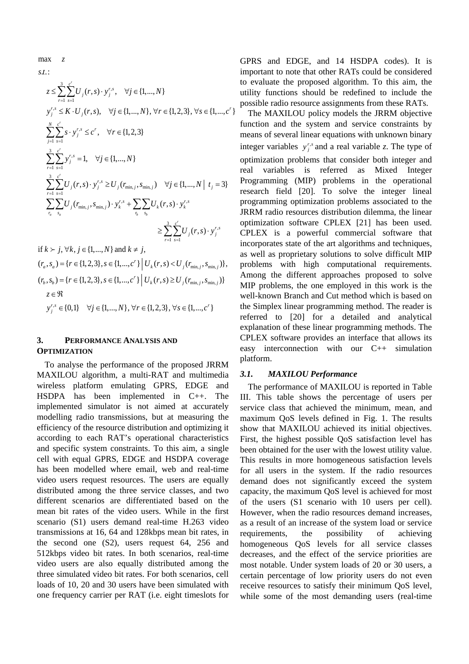max z  
\ns.t.:  
\n
$$
z \le \sum_{r=1}^{3} \sum_{s=1}^{c'} U_j(r,s) \cdot y_j^{r,s}, \quad \forall j \in \{1,...,N\}
$$
\n
$$
y_j^{r,s} \le K \cdot U_j(r,s), \quad \forall j \in \{1,...,N\}, \forall r \in \{1,2,3\}, \forall s \in \{1,...,c'\}
$$
\n
$$
\sum_{j=1}^{N} \sum_{s=1}^{c'} s \cdot y_j^{r,s} \le c', \quad \forall r \in \{1,2,3\}
$$
\n
$$
\sum_{r=1}^{3} \sum_{s=1}^{c'} y_j^{r,s} = 1, \quad \forall j \in \{1,...,N\}
$$
\n
$$
\sum_{r=1}^{3} \sum_{s=1}^{c'} U_j(r,s) \cdot y_j^{r,s} \ge U_j(r_{\min,j}, s_{\min,j}) \quad \forall j \in \{1,...,N \mid t_j = 3\}
$$
\n
$$
\sum_{r_a} \sum_{s_a} U_j(r_{\min,j}, s_{\min,j}) \cdot y_k^{r,s} + \sum_{r_b} \sum_{s_b} U_k(r,s) \cdot y_j^{r,s}
$$
\n
$$
\ge \sum_{r=1}^{3} \sum_{s=1}^{c'} U_j(r,s) \cdot y_j^{r,s}
$$
\nif  $k > j, \forall k, j \in \{1,...,N\}$  and  $k \ne j$ ,  
\n
$$
(r_a, s_a) = \{r \in \{1,2,3\}, s \in \{1,...,c'\} \mid U_k(r,s) < U_j(r_{\min,j}, s_{\min,j})\},
$$
\n
$$
(r_b, s_b) = \{r \in \{1,2,3\}, s \in \{1,...,c'\} \mid U_k(r,s) \ge U_j(r_{\min,j}, s_{\min,j})\}
$$
\n
$$
z \in \Re
$$
\n
$$
y_j^{r,s} \in \{0,1\} \quad \forall j \in \{1,...,N\}, \forall r \in \{1,2,3\}, \forall s \in \{1,...,c'\}
$$

# <span id="page-7-0"></span>**3. PERFORMANCE ANALYSIS AND OPTIMIZATION**

To analyse the performance of the proposed JRRM MAXILOU algorithm, a multi-RAT and multimedia wireless platform emulating GPRS, EDGE and HSDPA has been implemented in C++. The implemented simulator is not aimed at accurately modelling radio transmissions, but at measuring the efficiency of the resource distribution and optimizing it according to each RAT's operational characteristics and specific system constraints. To this aim, a single cell with equal GPRS, EDGE and HSDPA coverage has been modelled where email, web and real-time video users request resources. The users are equally distributed among the three service classes, and two different scenarios are differentiated based on the mean bit rates of the video users. While in the first scenario (S1) users demand real-time H.263 video transmissions at 16, 64 and 128kbps mean bit rates, in the second one (S2), users request 64, 256 and 512kbps video bit rates. In both scenarios, real-time video users are also equally distributed among the three simulated video bit rates. For both scenarios, cell loads of 10, 20 and 30 users have been simulated with one frequency carrier per RAT (i.e. eight timeslots for GPRS and EDGE, and 14 HSDPA codes). It is important to note that other RATs could be considered to evaluate the proposed algorithm. To this aim, the utility functions should be redefined to include the possible radio resource assignments from these RATs.

The MAXILOU policy models the JRRM objective function and the system and service constraints by means of several linear equations with unknown binary integer variables  $y_j^{r,s}$  and a real variable *z*. The type of optimization problems that consider both integer and real variables is referred as Mixed Integer Programming (MIP) problems in the operational research field [\[20\].](#page-16-12) To solve the integer lineal programming optimization problems associated to the JRRM radio resources distribution dilemma, the linear optimization software CPLEX [\[21\]](#page-16-13) has been used. CPLEX is a powerful commercial software that incorporates state of the art algorithms and techniques, as well as proprietary solutions to solve difficult MIP problems with high computational requirements. Among the different approaches proposed to solve MIP problems, the one employed in this work is the well-known Branch and Cut method which is based on the Simplex linear programming method. The reader is referred to [\[20\]](#page-16-12) for a detailed and analytical explanation of these linear programming methods. The CPLEX software provides an interface that allows its easy interconnection with our C++ simulation platform.

#### *3.1. MAXILOU Performance*

The performance of MAXILOU is reported in Table III. This table shows the percentage of users per service class that achieved the minimum, mean, and maximum QoS levels defined in Fig. 1. The results show that MAXILOU achieved its initial objectives. First, the highest possible QoS satisfaction level has been obtained for the user with the lowest utility value. This results in more homogeneous satisfaction levels for all users in the system. If the radio resources demand does not significantly exceed the system capacity, the maximum QoS level is achieved for most of the users (S1 scenario with 10 users per cell). However, when the radio resources demand increases, as a result of an increase of the system load or service requirements, the possibility of achieving homogeneous QoS levels for all service classes decreases, and the effect of the service priorities are most notable. Under system loads of 20 or 30 users, a certain percentage of low priority users do not even receive resources to satisfy their minimum QoS level, while some of the most demanding users (real-time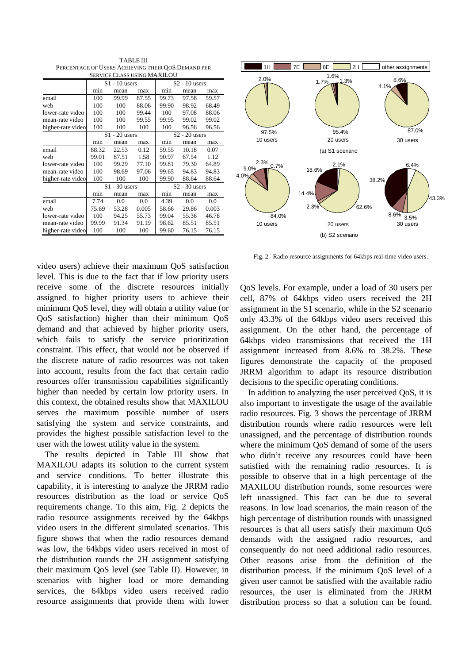TABLE III PERCENTAGE OF USERS ACHIEVING THEIR OOS DEMAND PER SERVICE CLASS USING MAXILOU

|                   | DER VICE CEADD ODING MIAZMEO'O |                 |       |                 |                 |       |  |  |
|-------------------|--------------------------------|-----------------|-------|-----------------|-----------------|-------|--|--|
|                   |                                | $S1 - 10$ users |       |                 | $S2 - 10$ users |       |  |  |
|                   | min                            | mean            | max   | min             | mean            | max   |  |  |
| email             | 100                            | 99.99           | 87.55 | 99.73           | 97.58           | 59.57 |  |  |
| web               | 100                            | 100             | 88.06 | 99.90           | 98.92           | 68.49 |  |  |
| lower-rate video  | 100                            | 100             | 99.44 | 100             | 97.08           | 88.06 |  |  |
| mean-rate video   | 100                            | 100             | 99.55 | 99.95           | 99.02           | 99.02 |  |  |
| higher-rate video | 100                            | 100             | 100   | 100             | 96.56           | 96.56 |  |  |
|                   |                                | $S1 - 20$ users |       | $S2 - 20$ users |                 |       |  |  |
|                   | min                            | mean            | max   | min             | mean            | max   |  |  |
| email             | 88.32                          | 22.53           | 0.12  | 59.55           | 10.18           | 0.07  |  |  |
| web               | 99.01                          | 87.51           | 1.58  | 90.97           | 67.54           | 1.12  |  |  |
| lower-rate video  | 100                            | 99.29           | 77.10 | 99.81           | 79.30           | 64.89 |  |  |
| mean-rate video   | 100                            | 98.69           | 97.06 | 99.65           | 94.83           | 94.83 |  |  |
| higher-rate video | 100                            | 100             | 100   | 99.90           | 88.64           | 88.64 |  |  |
|                   |                                | $S1 - 30$ users |       | $S2 - 30$ users |                 |       |  |  |
|                   | min                            | mean            | max   | min             | mean            | max   |  |  |
| email             | 7.74                           | 0.0             | 0.0   | 4.39            | 0.0             | 0.0   |  |  |
| web               | 75.69                          | 53.28           | 0.005 | 58.66           | 29.86           | 0.003 |  |  |
| lower-rate video  | 100                            | 94.25           | 55.73 | 99.04           | 55.36           | 46.78 |  |  |
| mean-rate video   | 99.99                          | 91.34           | 91.19 | 98.62           | 85.51           | 85.51 |  |  |
| higher-rate video | 100                            | 100             | 100   | 99.60           | 76.15           | 76.15 |  |  |



video users) achieve their maximum QoS satisfaction level. This is due to the fact that if low priority users receive some of the discrete resources initially assigned to higher priority users to achieve their minimum QoS level, they will obtain a utility value (or QoS satisfaction) higher than their minimum QoS demand and that achieved by higher priority users, which fails to satisfy the service prioritization constraint. This effect, that would not be observed if the discrete nature of radio resources was not taken into account, results from the fact that certain radio resources offer transmission capabilities significantly higher than needed by certain low priority users. In this context, the obtained results show that MAXILOU serves the maximum possible number of users satisfying the system and service constraints, and provides the highest possible satisfaction level to the user with the lowest utility value in the system.

The results depicted in Table III show that MAXILOU adapts its solution to the current system and service conditions. To better illustrate this capability, it is interesting to analyze the JRRM radio resources distribution as the load or service QoS requirements change. To this aim, Fig. 2 depicts the radio resource assignments received by the 64kbps video users in the different simulated scenarios. This figure shows that when the radio resources demand was low, the 64kbps video users received in most of the distribution rounds the 2H assignment satisfying their maximum QoS level (see Table II). However, in scenarios with higher load or more demanding services, the 64kbps video users received radio resource assignments that provide them with lower

Fig. 2. Radio resource assignments for 64kbps real-time video users.

QoS levels. For example, under a load of 30 users per cell, 87% of 64kbps video users received the 2H assignment in the S1 scenario, while in the S2 scenario only 43.3% of the 64kbps video users received this assignment. On the other hand, the percentage of 64kbps video transmissions that received the 1H assignment increased from 8.6% to 38.2%. These figures demonstrate the capacity of the proposed JRRM algorithm to adapt its resource distribution decisions to the specific operating conditions.

In addition to analyzing the user perceived QoS, it is also important to investigate the usage of the available radio resources. Fig. 3 shows the percentage of JRRM distribution rounds where radio resources were left unassigned, and the percentage of distribution rounds where the minimum QoS demand of some of the users who didn't receive any resources could have been satisfied with the remaining radio resources. It is possible to observe that in a high percentage of the MAXILOU distribution rounds, some resources were left unassigned. This fact can be due to several reasons. In low load scenarios, the main reason of the high percentage of distribution rounds with unassigned resources is that all users satisfy their maximum QoS demands with the assigned radio resources, and consequently do not need additional radio resources. Other reasons arise from the definition of the distribution process. If the minimum QoS level of a given user cannot be satisfied with the available radio resources, the user is eliminated from the JRRM distribution process so that a solution can be found.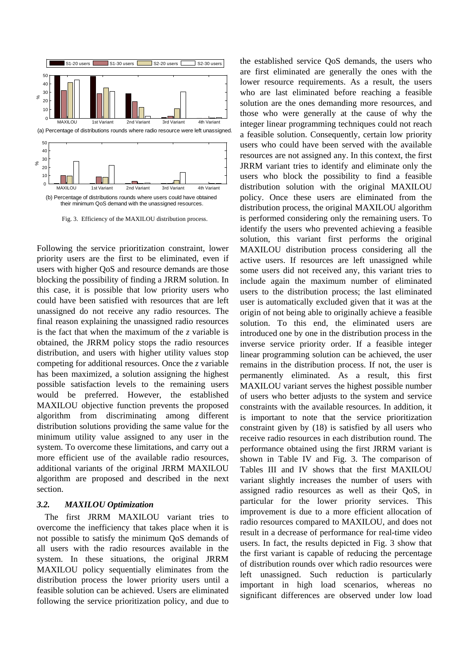

Fig. 3. Efficiency of the MAXILOU distribution process.

Following the service prioritization constraint, lower priority users are the first to be eliminated, even if users with higher QoS and resource demands are those blocking the possibility of finding a JRRM solution. In this case, it is possible that low priority users who could have been satisfied with resources that are left unassigned do not receive any radio resources. The final reason explaining the unassigned radio resources is the fact that when the maximum of the *z* variable is obtained, the JRRM policy stops the radio resources distribution, and users with higher utility values stop competing for additional resources. Once the *z* variable has been maximized, a solution assigning the highest possible satisfaction levels to the remaining users would be preferred. However, the established MAXILOU objective function prevents the proposed algorithm from discriminating among different distribution solutions providing the same value for the minimum utility value assigned to any user in the system. To overcome these limitations, and carry out a more efficient use of the available radio resources, additional variants of the original JRRM MAXILOU algorithm are proposed and described in the next section.

## *3.2. MAXILOU Optimization*

The first JRRM MAXILOU variant tries to overcome the inefficiency that takes place when it is not possible to satisfy the minimum QoS demands of all users with the radio resources available in the system. In these situations, the original JRRM MAXILOU policy sequentially eliminates from the distribution process the lower priority users until a feasible solution can be achieved. Users are eliminated following the service prioritization policy, and due to

the established service QoS demands, the users who are first eliminated are generally the ones with the lower resource requirements. As a result, the users who are last eliminated before reaching a feasible solution are the ones demanding more resources, and those who were generally at the cause of why the integer linear programming techniques could not reach a feasible solution. Consequently, certain low priority users who could have been served with the available resources are not assigned any. In this context, the first JRRM variant tries to identify and eliminate only the users who block the possibility to find a feasible distribution solution with the original MAXILOU policy. Once these users are eliminated from the distribution process, the original MAXILOU algorithm is performed considering only the remaining users. To identify the users who prevented achieving a feasible solution, this variant first performs the original MAXILOU distribution process considering all the active users. If resources are left unassigned while some users did not received any, this variant tries to include again the maximum number of eliminated users to the distribution process; the last eliminated user is automatically excluded given that it was at the origin of not being able to originally achieve a feasible solution. To this end, the eliminated users are introduced one by one in the distribution process in the inverse service priority order. If a feasible integer linear programming solution can be achieved, the user remains in the distribution process. If not, the user is permanently eliminated. As a result, this first MAXILOU variant serves the highest possible number of users who better adjusts to the system and service constraints with the available resources. In addition, it is important to note that the service prioritization constraint given by (18) is satisfied by all users who receive radio resources in each distribution round. The performance obtained using the first JRRM variant is shown in Table IV and Fig. 3. The comparison of Tables III and IV shows that the first MAXILOU variant slightly increases the number of users with assigned radio resources as well as their QoS, in particular for the lower priority services. This improvement is due to a more efficient allocation of radio resources compared to MAXILOU, and does not result in a decrease of performance for real-time video users. In fact, the results depicted in Fig. 3 show that the first variant is capable of reducing the percentage of distribution rounds over which radio resources were left unassigned. Such reduction is particularly important in high load scenarios, whereas no significant differences are observed under low load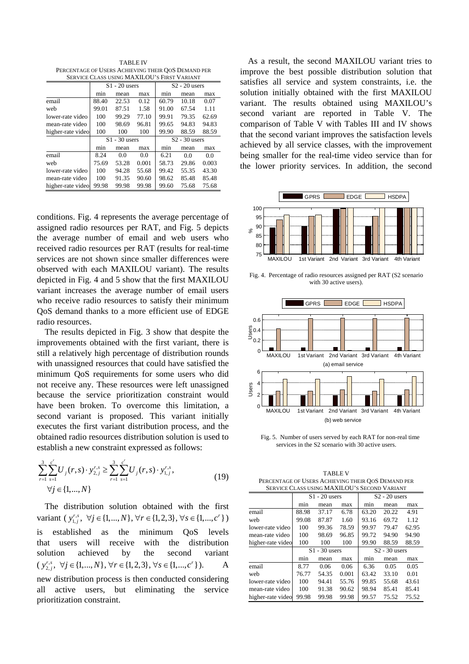TABLE IV PERCENTAGE OF USERS ACHIEVING THEIR QOS DEMAND PER SERVICE CLASS USING MAXILOU'S FIRST VARIANT

| ƏENVICE CLASS USINU İNFAALLOU "STINST" V ANIAN I |                 |                 |       |                 |       |       |  |  |
|--------------------------------------------------|-----------------|-----------------|-------|-----------------|-------|-------|--|--|
|                                                  | $S1 - 20$ users |                 |       | $S2 - 20$ users |       |       |  |  |
|                                                  | min             | mean            | max   | min             | mean  | max   |  |  |
| email                                            | 88.40           | 22.53           | 0.12  | 60.79           | 10.18 | 0.07  |  |  |
| web                                              | 99.01           | 87.51           | 1.58  | 91.00           | 67.54 | 1.11  |  |  |
| lower-rate video                                 | 100             | 99.29           | 77.10 | 99.91           | 79.35 | 62.69 |  |  |
| mean-rate video                                  | 100             | 98.69           | 96.81 | 99.65           | 94.83 | 94.83 |  |  |
| higher-rate video                                | 100             | 100             | 100   | 99.90           | 88.59 | 88.59 |  |  |
|                                                  |                 | $S1 - 30$ users |       | $S2 - 30$ users |       |       |  |  |
|                                                  | min             | mean            | max   | min             | mean  | max   |  |  |
| email                                            | 8.24            | 0.0             | 0.0   | 6.21            | 0.0   | 0.0   |  |  |
| web                                              | 75.69           | 53.28           | 0.001 | 58.73           | 29.86 | 0.003 |  |  |
| lower-rate video                                 | 100             | 94.28           | 55.68 | 99.42           | 55.35 | 43.30 |  |  |
| mean-rate video                                  | 100             | 91.35           | 90.60 | 98.62           | 85.48 | 85.48 |  |  |
| higher-rate video                                | 99.98           | 99.98           | 99.98 | 99.60           | 75.68 | 75.68 |  |  |

conditions. Fig. 4 represents the average percentage of assigned radio resources per RAT, and Fig. 5 depicts the average number of email and web users who received radio resources per RAT (results for real-time services are not shown since smaller differences were observed with each MAXILOU variant). The results depicted in Fig. 4 and 5 show that the first MAXILOU variant increases the average number of email users who receive radio resources to satisfy their minimum QoS demand thanks to a more efficient use of EDGE radio resources.

The results depicted in Fig. 3 show that despite the improvements obtained with the first variant, there is still a relatively high percentage of distribution rounds with unassigned resources that could have satisfied the minimum QoS requirements for some users who did not receive any. These resources were left unassigned because the service prioritization constraint would have been broken. To overcome this limitation, a second variant is proposed. This variant initially executes the first variant distribution process, and the obtained radio resources distribution solution is used to establish a new constraint expressed as follows:

$$
\sum_{r=1}^{3} \sum_{s=1}^{c^{r}} U_{j}(r,s) \cdot y_{2,j}^{r,s} \ge \sum_{r=1}^{3} \sum_{s=1}^{c^{r}} U_{j}(r,s) \cdot y_{1,j}^{r,s},
$$
\n
$$
\forall j \in \{1,...,N\}
$$
\n(19)

The distribution solution obtained with the first variant  $(y_{1,j}^{r,s}, \forall j \in \{1,..., N\}, \forall r \in \{1,2,3\}, \forall s \in \{1,..., c^{r}\})$ is established as the minimum QoS levels that users will receive with the distribution solution achieved by the second variant  $(y_{2,j}^{r,s}, \forall j \in \{1,...,N\}, \forall r \in \{1,2,3\}, \forall s \in \{1,...,c^r\}).$  A new distribution process is then conducted considering all active users, but eliminating the service prioritization constraint.

As a result, the second MAXILOU variant tries to improve the best possible distribution solution that satisfies all service and system constraints, i.e. the solution initially obtained with the first MAXILOU variant. The results obtained using MAXILOU's second variant are reported in Table V. The comparison of Table V with Tables III and IV shows that the second variant improves the satisfaction levels achieved by all service classes, with the improvement being smaller for the real-time video service than for the lower priority services. In addition, the second



Fig. 4. Percentage of radio resources assigned per RAT (S2 scenario with 30 active users).



Fig. 5. Number of users served by each RAT for non-real time services in the S2 scenario with 30 active users.

| <b>TABLE V</b>                                     |
|----------------------------------------------------|
| PERCENTAGE OF USERS ACHIEVING THEIR OOS DEMAND PER |
| SERVICE CLASS USING MAXILOU'S SECOND VARIANT       |

| SERVICE CLASS USING MAXILOU'S SECOND VARIANT |                 |                 |       |                 |                 |       |  |  |
|----------------------------------------------|-----------------|-----------------|-------|-----------------|-----------------|-------|--|--|
|                                              | $S1 - 20$ users |                 |       | $S2 - 20$ users |                 |       |  |  |
|                                              | min             | mean            | max   | min             | mean            | max   |  |  |
| email                                        | 88.98           | 37.17           | 6.78  | 63.20           | 20.22           | 4.91  |  |  |
| web                                          | 99.08           | 87.87           | 1.60  | 93.16           | 69.72           | 1.12  |  |  |
| lower-rate video                             | 100             | 99.36           | 78.59 | 99.97           | 79.47           | 62.95 |  |  |
| mean-rate video                              | 100             | 98.69           | 96.85 | 99.72           | 94.90           | 94.90 |  |  |
| higher-rate video                            | 100             | 100             | 100   | 99.90           | 88.59           | 88.59 |  |  |
|                                              |                 | $S1 - 30$ users |       |                 | $S2 - 30$ users |       |  |  |
|                                              | min             | mean            | max   | min             | mean            | max   |  |  |
| email                                        | 8.77            | 0.06            | 0.06  | 6.36            | 0.05            | 0.05  |  |  |
| web                                          | 76.77           | 54.35           | 0.001 | 63.42           | 33.10           | 0.01  |  |  |
| lower-rate video                             | 100             | 94.41           | 55.76 | 99.85           | 55.68           | 43.61 |  |  |
| mean-rate video                              | 100             | 91.38           | 90.62 | 98.94           | 85.41           | 85.41 |  |  |
| higher-rate video                            | 99.98           | 99.98           | 99.98 | 99.57           | 75.52           | 75.52 |  |  |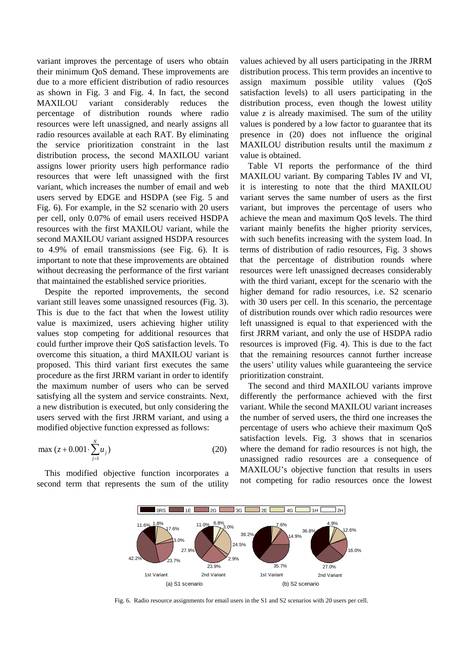variant improves the percentage of users who obtain their minimum QoS demand. These improvements are due to a more efficient distribution of radio resources as shown in Fig. 3 and Fig. 4. In fact, the second MAXILOU variant considerably reduces the percentage of distribution rounds where radio resources were left unassigned, and nearly assigns all radio resources available at each RAT. By eliminating the service prioritization constraint in the last distribution process, the second MAXILOU variant assigns lower priority users high performance radio resources that were left unassigned with the first variant, which increases the number of email and web users served by EDGE and HSDPA (see Fig. 5 and Fig. 6). For example, in the S2 scenario with 20 users per cell, only 0.07% of email users received HSDPA resources with the first MAXILOU variant, while the second MAXILOU variant assigned HSDPA resources to 4.9% of email transmissions (see Fig. 6). It is important to note that these improvements are obtained without decreasing the performance of the first variant that maintained the established service priorities.

Despite the reported improvements, the second variant still leaves some unassigned resources (Fig. 3). This is due to the fact that when the lowest utility value is maximized, users achieving higher utility values stop competing for additional resources that could further improve their QoS satisfaction levels. To overcome this situation, a third MAXILOU variant is proposed. This third variant first executes the same procedure as the first JRRM variant in order to identify the maximum number of users who can be served satisfying all the system and service constraints. Next, a new distribution is executed, but only considering the users served with the first JRRM variant, and using a modified objective function expressed as follows:

$$
\max (z + 0.001 \cdot \sum_{j=1}^{N} u_j)
$$
 (20)

This modified objective function incorporates a second term that represents the sum of the utility values achieved by all users participating in the JRRM distribution process. This term provides an incentive to assign maximum possible utility values (QoS satisfaction levels) to all users participating in the distribution process, even though the lowest utility value  $\zeta$  is already maximised. The sum of the utility values is pondered by a low factor to guarantee that its presence in (20) does not influence the original MAXILOU distribution results until the maximum *z* value is obtained.

Table VI reports the performance of the third MAXILOU variant. By comparing Tables IV and VI, it is interesting to note that the third MAXILOU variant serves the same number of users as the first variant, but improves the percentage of users who achieve the mean and maximum QoS levels. The third variant mainly benefits the higher priority services, with such benefits increasing with the system load. In terms of distribution of radio resources, Fig. 3 shows that the percentage of distribution rounds where resources were left unassigned decreases considerably with the third variant, except for the scenario with the higher demand for radio resources, i.e. S2 scenario with 30 users per cell. In this scenario, the percentage of distribution rounds over which radio resources were left unassigned is equal to that experienced with the first JRRM variant, and only the use of HSDPA radio resources is improved (Fig. 4). This is due to the fact that the remaining resources cannot further increase the users' utility values while guaranteeing the service prioritization constraint.

The second and third MAXILOU variants improve differently the performance achieved with the first variant. While the second MAXILOU variant increases the number of served users, the third one increases the percentage of users who achieve their maximum QoS satisfaction levels. Fig. 3 shows that in scenarios where the demand for radio resources is not high, the unassigned radio resources are a consequence of MAXILOU's objective function that results in users not competing for radio resources once the lowest



Fig. 6. Radio resource assignments for email users in the S1 and S2 scenarios with 20 users per cell.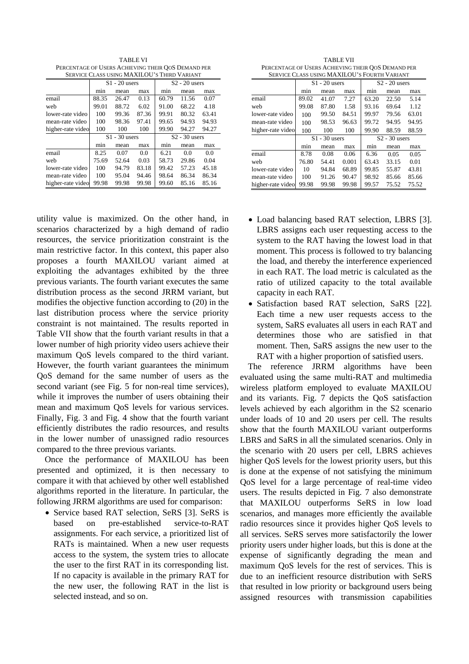TABLE VI PERCENTAGE OF USERS ACHIEVING THEIR QOS DEMAND PER SERVICE CLASS USING MAXILOU'S THIRD VARIANT

|                   | $S1 - 20$ users |                 |       | $S2 - 20$ users |                 |       |  |  |
|-------------------|-----------------|-----------------|-------|-----------------|-----------------|-------|--|--|
|                   | min             | mean            | max   | min             | mean            | max   |  |  |
| email             | 88.35           | 26.47           | 0.13  | 60.79           | 11.56           | 0.07  |  |  |
| web               | 99.01           | 88.72           | 6.02  | 91.00           | 68.22           | 4.18  |  |  |
| lower-rate video  | 100             | 99.36           | 87.36 | 99.91           | 80.32           | 63.41 |  |  |
| mean-rate video   | 100             | 98.36           | 97.41 | 99.65           | 94.93           | 94.93 |  |  |
| higher-rate video | 100             | 100             | 100   | 99.90           | 94.27           | 94.27 |  |  |
|                   |                 | $S1 - 30$ users |       |                 | $S2 - 30$ users |       |  |  |
|                   | min             | mean            | max   | min             | mean            | max   |  |  |
| email             | 8.25            | 0.07            | 0.0   | 6.21            | 0.0             | 0.0   |  |  |
| web               | 75.69           | 52.64           | 0.03  | 58.73           | 29.86           | 0.04  |  |  |
| lower-rate video  | 100             | 94.79           | 83.18 | 99.42           | 57.23           | 45.18 |  |  |
| mean-rate video   | 100             | 95.04           | 94.46 | 98.64           | 86.34           | 86.34 |  |  |
| higher-rate video | 99.98           | 99.98           | 99.98 | 99.60           | 85.16           | 85.16 |  |  |

utility value is maximized. On the other hand, in scenarios characterized by a high demand of radio resources, the service prioritization constraint is the main restrictive factor. In this context, this paper also proposes a fourth MAXILOU variant aimed at exploiting the advantages exhibited by the three previous variants. The fourth variant executes the same distribution process as the second JRRM variant, but modifies the objective function according to (20) in the last distribution process where the service priority constraint is not maintained. The results reported in Table VII show that the fourth variant results in that a lower number of high priority video users achieve their maximum QoS levels compared to the third variant. However, the fourth variant guarantees the minimum QoS demand for the same number of users as the second variant (see Fig. 5 for non-real time services), while it improves the number of users obtaining their mean and maximum QoS levels for various services. Finally, Fig. 3 and Fig. 4 show that the fourth variant efficiently distributes the radio resources, and results in the lower number of unassigned radio resources compared to the three previous variants.

Once the performance of MAXILOU has been presented and optimized, it is then necessary to compare it with that achieved by other well established algorithms reported in the literature. In particular, the following JRRM algorithms are used for comparison:

• Service based RAT selection, SeRS [\[3\].](#page-15-2) SeRS is based on pre-established service-to-RAT assignments. For each service, a prioritized list of RATs is maintained. When a new user requests access to the system, the system tries to allocate the user to the first RAT in its corresponding list. If no capacity is available in the primary RAT for the new user, the following RAT in the list is selected instead, and so on.

TABLE VII PERCENTAGE OF USERS ACHIEVING THEIR QOS DEMAND PER SERVICE CLASS USING MAXILOU'S FOURTH VARIANT

| 918 YICL CLASS CSING MI MILLOU 9 I GORIHI |                 |                 |       |                 |       |       |
|-------------------------------------------|-----------------|-----------------|-------|-----------------|-------|-------|
|                                           | $S1 - 20$ users |                 |       | $S2 - 20$ users |       |       |
|                                           | min             | mean            | max   | min             | mean  | max   |
| email                                     | 89.02           | 41.07           | 7.27  | 63.20           | 22.50 | 5.14  |
| web                                       | 99.08           | 87.80           | 1.58  | 93.16           | 69.64 | 1.12  |
| lower-rate video                          | 100             | 99.50           | 84.51 | 99.97           | 79.56 | 63.01 |
| mean-rate video                           | 100             | 98.53           | 96.63 | 99.72           | 94.95 | 94.95 |
| higher-rate video                         | 100             | 100             | 100   | 99.90           | 88.59 | 88.59 |
|                                           |                 | $S1 - 30$ users |       | $S2 - 30$ users |       |       |
|                                           | min             | mean            | max   | min             | mean  | max   |
| email                                     | 8.78            | 0.08            | 0.06  | 6.36            | 0.05  | 0.05  |
| web                                       | 76.80           | 54.41           | 0.001 | 63.43           | 33.15 | 0.01  |
| lower-rate video                          | 10              | 94.84           | 68.89 | 99.85           | 55.87 | 43.81 |
| mean-rate video                           | 100             | 91.26           | 90.47 | 98.92           | 85.66 | 85.66 |
| higher-rate video                         | 99.98           | 99.98           | 99.98 | 99.57           | 75.52 | 75.52 |

- Load balancing based RAT selection, LBRS [\[3\].](#page-15-2) LBRS assigns each user requesting access to the system to the RAT having the lowest load in that moment. This process is followed to try balancing the load, and thereby the interference experienced in each RAT. The load metric is calculated as the ratio of utilized capacity to the total available capacity in each RAT.
- Satisfaction based RAT selection, SaRS [\[22\].](#page-16-14) Each time a new user requests access to the system, SaRS evaluates all users in each RAT and determines those who are satisfied in that moment. Then, SaRS assigns the new user to the RAT with a higher proportion of satisfied users.

The reference JRRM algorithms have been evaluated using the same multi-RAT and multimedia wireless platform employed to evaluate MAXILOU and its variants. Fig. 7 depicts the QoS satisfaction levels achieved by each algorithm in the S2 scenario under loads of 10 and 20 users per cell. The results show that the fourth MAXILOU variant outperforms LBRS and SaRS in all the simulated scenarios. Only in the scenario with 20 users per cell, LBRS achieves higher QoS levels for the lowest priority users, but this is done at the expense of not satisfying the minimum QoS level for a large percentage of real-time video users. The results depicted in Fig. 7 also demonstrate that MAXILOU outperforms SeRS in low load scenarios, and manages more efficiently the available radio resources since it provides higher QoS levels to all services. SeRS serves more satisfactorily the lower priority users under higher loads, but this is done at the expense of significantly degrading the mean and maximum QoS levels for the rest of services. This is due to an inefficient resource distribution with SeRS that resulted in low priority or background users being assigned resources with transmission capabilities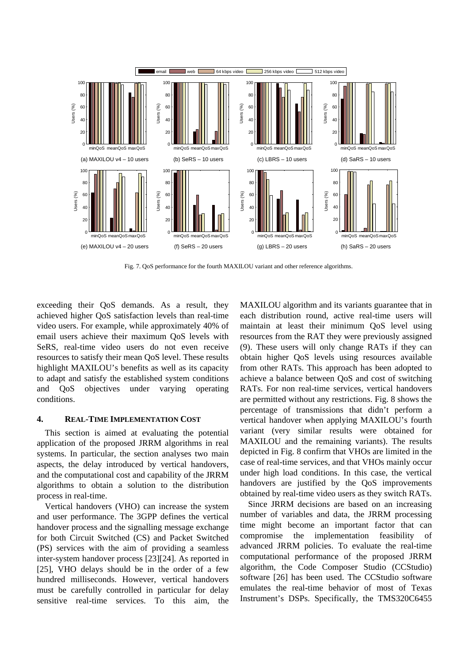

Fig. 7. QoS performance for the fourth MAXILOU variant and other reference algorithms.

exceeding their QoS demands. As a result, they achieved higher QoS satisfaction levels than real-time video users. For example, while approximately 40% of email users achieve their maximum QoS levels with SeRS, real-time video users do not even receive resources to satisfy their mean QoS level. These results highlight MAXILOU's benefits as well as its capacity to adapt and satisfy the established system conditions and QoS objectives under varying operating conditions.

### <span id="page-13-0"></span>**4. REAL-TIME IMPLEMENTATION COST**

This section is aimed at evaluating the potential application of the proposed JRRM algorithms in real systems. In particular, the section analyses two main aspects, the delay introduced by vertical handovers, and the computational cost and capability of the JRRM algorithms to obtain a solution to the distribution process in real-time.

Vertical handovers (VHO) can increase the system and user performance. The 3GPP defines the vertical handover process and the signalling message exchange for both Circuit Switched (CS) and Packet Switched (PS) services with the aim of providing a seamless inter-system handover process [\[23\]\[24\].](#page-16-15) As reported in [\[25\],](#page-16-16) VHO delays should be in the order of a few hundred milliseconds. However, vertical handovers must be carefully controlled in particular for delay sensitive real-time services. To this aim, the MAXILOU algorithm and its variants guarantee that in each distribution round, active real-time users will maintain at least their minimum QoS level using resources from the RAT they were previously assigned (9). These users will only change RATs if they can obtain higher QoS levels using resources available from other RATs. This approach has been adopted to achieve a balance between QoS and cost of switching RATs. For non real-time services, vertical handovers are permitted without any restrictions. Fig. 8 shows the percentage of transmissions that didn't perform a vertical handover when applying MAXILOU's fourth variant (very similar results were obtained for MAXILOU and the remaining variants). The results depicted in Fig. 8 confirm that VHOs are limited in the case of real-time services, and that VHOs mainly occur under high load conditions. In this case, the vertical handovers are justified by the QoS improvements obtained by real-time video users as they switch RATs.

Since JRRM decisions are based on an increasing number of variables and data, the JRRM processing time might become an important factor that can compromise the implementation feasibility of advanced JRRM policies. To evaluate the real-time computational performance of the proposed JRRM algorithm, the Code Composer Studio (CCStudio) software [\[26\]](#page-16-17) has been used. The CCStudio software emulates the real-time behavior of most of Texas Instrument's DSPs. Specifically, the TMS320C6455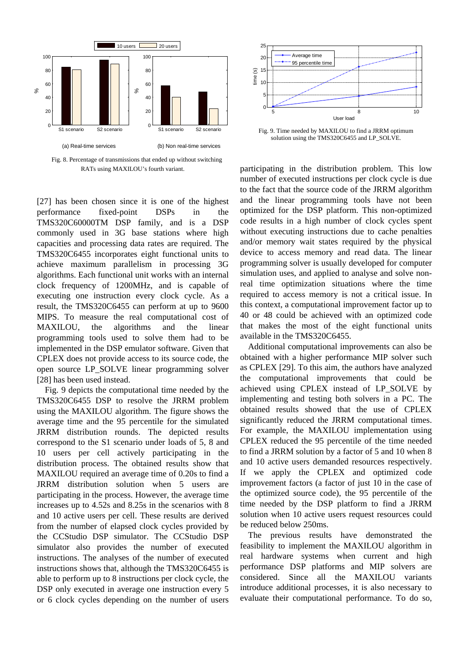

Fig. 8. Percentage of transmissions that ended up without switching RATs using MAXILOU's fourth variant.

[\[27\]](#page-16-18) has been chosen since it is one of the highest performance fixed-point DSPs in the TMS320C60000TM DSP family, and is a DSP commonly used in 3G base stations where high capacities and processing data rates are required. The TMS320C6455 incorporates eight functional units to achieve maximum parallelism in processing 3G algorithms. Each functional unit works with an internal clock frequency of 1200MHz, and is capable of executing one instruction every clock cycle. As a result, the TMS320C6455 can perform at up to 9600 MIPS. To measure the real computational cost of MAXILOU, the algorithms and the linear programming tools used to solve them had to be implemented in the DSP emulator software. Given that CPLEX does not provide access to its source code, the open source LP\_SOLVE linear programming solver [\[28\]](#page-16-19) has been used instead.

Fig. 9 depicts the computational time needed by the TMS320C6455 DSP to resolve the JRRM problem using the MAXILOU algorithm. The figure shows the average time and the 95 percentile for the simulated JRRM distribution rounds. The depicted results correspond to the S1 scenario under loads of 5, 8 and 10 users per cell actively participating in the distribution process. The obtained results show that MAXILOU required an average time of 0.20s to find a JRRM distribution solution when 5 users are participating in the process. However, the average time increases up to 4.52s and 8.25s in the scenarios with 8 and 10 active users per cell. These results are derived from the number of elapsed clock cycles provided by the CCStudio DSP simulator. The CCStudio DSP simulator also provides the number of executed instructions. The analyses of the number of executed instructions shows that, although the TMS320C6455 is able to perform up to 8 instructions per clock cycle, the DSP only executed in average one instruction every 5 or 6 clock cycles depending on the number of users



Fig. 9. Time needed by MAXILOU to find a JRRM optimum solution using the TMS320C6455 and LP\_SOLVE.

participating in the distribution problem. This low number of executed instructions per clock cycle is due to the fact that the source code of the JRRM algorithm and the linear programming tools have not been optimized for the DSP platform. This non-optimized code results in a high number of clock cycles spent without executing instructions due to cache penalties and/or memory wait states required by the physical device to access memory and read data. The linear programming solver is usually developed for computer simulation uses, and applied to analyse and solve nonreal time optimization situations where the time required to access memory is not a critical issue. In this context, a computational improvement factor up to 40 or 48 could be achieved with an optimized code that makes the most of the eight functional units available in the TMS320C6455.

Additional computational improvements can also be obtained with a higher performance MIP solver such as CPLEX [\[29\].](#page-16-20) To this aim, the authors have analyzed the computational improvements that could be achieved using CPLEX instead of LP\_SOLVE by implementing and testing both solvers in a PC. The obtained results showed that the use of CPLEX significantly reduced the JRRM computational times. For example, the MAXILOU implementation using CPLEX reduced the 95 percentile of the time needed to find a JRRM solution by a factor of 5 and 10 when 8 and 10 active users demanded resources respectively. If we apply the CPLEX and optimized code improvement factors (a factor of just 10 in the case of the optimized source code), the 95 percentile of the time needed by the DSP platform to find a JRRM solution when 10 active users request resources could be reduced below 250ms.

The previous results have demonstrated the feasibility to implement the MAXILOU algorithm in real hardware systems when current and high performance DSP platforms and MIP solvers are considered. Since all the MAXILOU variants introduce additional processes, it is also necessary to evaluate their computational performance. To do so,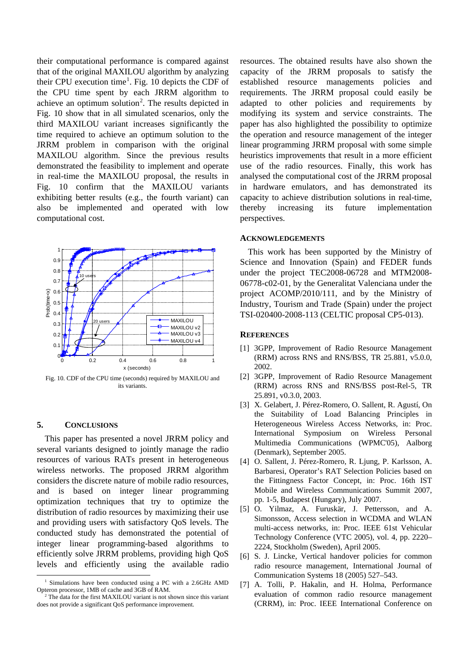their computational performance is compared against that of the original MAXILOU algorithm by analyzing their CPU execution time<sup>[1](#page-15-8)</sup>. Fig. 10 depicts the CDF of the CPU time spent by each JRRM algorithm to achieve an optimum solution<sup>[2](#page-15-9)</sup>. The results depicted in Fig. 10 show that in all simulated scenarios, only the third MAXILOU variant increases significantly the time required to achieve an optimum solution to the JRRM problem in comparison with the original MAXILOU algorithm. Since the previous results demonstrated the feasibility to implement and operate in real-time the MAXILOU proposal, the results in Fig. 10 confirm that the MAXILOU variants exhibiting better results (e.g., the fourth variant) can also be implemented and operated with low computational cost.



Fig. 10. CDF of the CPU time (seconds) required by MAXILOU and its variants.

#### <span id="page-15-7"></span>**5. CONCLUSIONS**

This paper has presented a novel JRRM policy and several variants designed to jointly manage the radio resources of various RATs present in heterogeneous wireless networks. The proposed JRRM algorithm considers the discrete nature of mobile radio resources, and is based on integer linear programming optimization techniques that try to optimize the distribution of radio resources by maximizing their use and providing users with satisfactory QoS levels. The conducted study has demonstrated the potential of integer linear programming-based algorithms to efficiently solve JRRM problems, providing high QoS levels and efficiently using the available radio

resources. The obtained results have also shown the capacity of the JRRM proposals to satisfy the established resource managements policies and requirements. The JRRM proposal could easily be adapted to other policies and requirements by modifying its system and service constraints. The paper has also highlighted the possibility to optimize the operation and resource management of the integer linear programming JRRM proposal with some simple heuristics improvements that result in a more efficient use of the radio resources. Finally, this work has analysed the computational cost of the JRRM proposal in hardware emulators, and has demonstrated its capacity to achieve distribution solutions in real-time, thereby increasing its future implementation perspectives.

#### **ACKNOWLEDGEMENTS**

This work has been supported by the Ministry of Science and Innovation (Spain) and FEDER funds under the project TEC2008-06728 and MTM2008- 06778-c02-01, by the Generalitat Valenciana under the project ACOMP/2010/111, and by the Ministry of Industry, Tourism and Trade (Spain) under the project TSI-020400-2008-113 (CELTIC proposal CP5-013).

#### **REFERENCES**

- <span id="page-15-0"></span>[1] 3GPP, Improvement of Radio Resource Management (RRM) across RNS and RNS/BSS, TR 25.881, v5.0.0, 2002.
- <span id="page-15-1"></span>[2] 3GPP, Improvement of Radio Resource Management (RRM) across RNS and RNS/BSS post-Rel-5, TR 25.891, v0.3.0, 2003.
- <span id="page-15-2"></span>[3] X. Gelabert, J. Pérez-Romero, O. Sallent, R. Agustí, On the Suitability of Load Balancing Principles in Heterogeneous Wireless Access Networks, in: Proc. International Symposium on Wireless Personal Multimedia Communications (WPMC'05), Aalborg (Denmark), September 2005.
- <span id="page-15-3"></span>[4] O. Sallent, J. Pérez-Romero, R. Ljung, P. Karlsson, A. Barbaresi, Operator's RAT Selection Policies based on the Fittingness Factor Concept, in: Proc. 16th IST Mobile and Wireless Communications Summit 2007, pp. 1-5, Budapest (Hungary), July 2007.
- <span id="page-15-4"></span>[5] O. Yilmaz, A. Furuskär, J. Pettersson, and A. Simonsson, Access selection in WCDMA and WLAN multi-access networks, in: Proc. IEEE 61st Vehicular Technology Conference (VTC 2005), vol. 4, pp. 2220– 2224, Stockholm (Sweden), April 2005.
- <span id="page-15-5"></span>[6] S. J. Lincke, Vertical handover policies for common radio resource management, International Journal of Communication Systems 18 (2005) 527–543.
- <span id="page-15-6"></span>[7] A. Tolli, P. Hakalin, and H. Holma, Performance evaluation of common radio resource management (CRRM), in: Proc. IEEE International Conference on

<span id="page-15-8"></span><sup>&</sup>lt;sup>1</sup> Simulations have been conducted using a PC with a 2.6GHz AMD Opteron processor, 1MB of cache and 3GB of RAM.

<span id="page-15-9"></span><sup>&</sup>lt;sup>2</sup> The data for the first MAXILOU variant is not shown since this variant does not provide a significant QoS performance improvement.